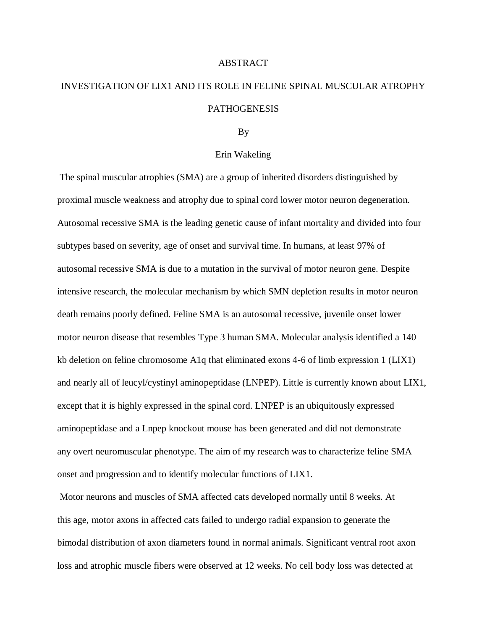## ABSTRACT

## INVESTIGATION OF LIX1 AND ITS ROLE IN FELINE SPINAL MUSCULAR ATROPHY PATHOGENESIS

## By

## Erin Wakeling

The spinal muscular atrophies (SMA) are a group of inherited disorders distinguished by proximal muscle weakness and atrophy due to spinal cord lower motor neuron degeneration. Autosomal recessive SMA is the leading genetic cause of infant mortality and divided into four subtypes based on severity, age of onset and survival time. In humans, at least 97% of autosomal recessive SMA is due to a mutation in the survival of motor neuron gene. Despite intensive research, the molecular mechanism by which SMN depletion results in motor neuron death remains poorly defined. Feline SMA is an autosomal recessive, juvenile onset lower motor neuron disease that resembles Type 3 human SMA. Molecular analysis identified a 140 kb deletion on feline chromosome A1q that eliminated exons 4-6 of limb expression 1 (LIX1) and nearly all of leucyl/cystinyl aminopeptidase (LNPEP). Little is currently known about LIX1, except that it is highly expressed in the spinal cord. LNPEP is an ubiquitously expressed aminopeptidase and a Lnpep knockout mouse has been generated and did not demonstrate any overt neuromuscular phenotype. The aim of my research was to characterize feline SMA onset and progression and to identify molecular functions of LIX1.

Motor neurons and muscles of SMA affected cats developed normally until 8 weeks. At this age, motor axons in affected cats failed to undergo radial expansion to generate the bimodal distribution of axon diameters found in normal animals. Significant ventral root axon loss and atrophic muscle fibers were observed at 12 weeks. No cell body loss was detected at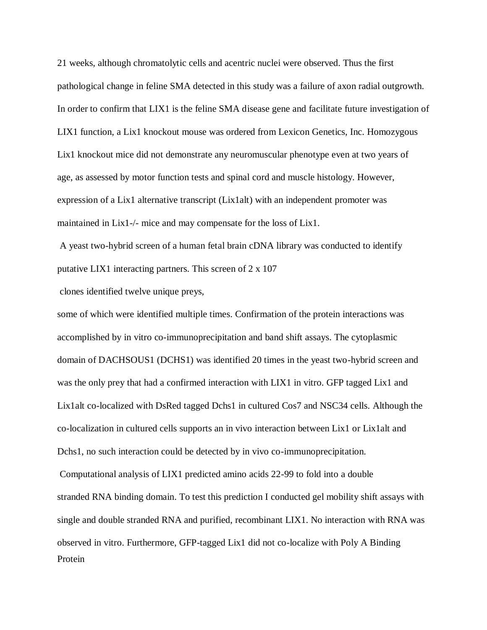21 weeks, although chromatolytic cells and acentric nuclei were observed. Thus the first pathological change in feline SMA detected in this study was a failure of axon radial outgrowth. In order to confirm that LIX1 is the feline SMA disease gene and facilitate future investigation of LIX1 function, a Lix1 knockout mouse was ordered from Lexicon Genetics, Inc. Homozygous Lix1 knockout mice did not demonstrate any neuromuscular phenotype even at two years of age, as assessed by motor function tests and spinal cord and muscle histology. However, expression of a Lix1 alternative transcript (Lix1alt) with an independent promoter was maintained in Lix1-/- mice and may compensate for the loss of Lix1.

A yeast two-hybrid screen of a human fetal brain cDNA library was conducted to identify putative LIX1 interacting partners. This screen of 2 x 107

clones identified twelve unique preys,

some of which were identified multiple times. Confirmation of the protein interactions was accomplished by in vitro co-immunoprecipitation and band shift assays. The cytoplasmic domain of DACHSOUS1 (DCHS1) was identified 20 times in the yeast two-hybrid screen and was the only prey that had a confirmed interaction with LIX1 in vitro. GFP tagged Lix1 and Lix1alt co-localized with DsRed tagged Dchs1 in cultured Cos7 and NSC34 cells. Although the co-localization in cultured cells supports an in vivo interaction between Lix1 or Lix1alt and Dchs1, no such interaction could be detected by in vivo co-immunoprecipitation.

Computational analysis of LIX1 predicted amino acids 22-99 to fold into a double stranded RNA binding domain. To test this prediction I conducted gel mobility shift assays with single and double stranded RNA and purified, recombinant LIX1. No interaction with RNA was observed in vitro. Furthermore, GFP-tagged Lix1 did not co-localize with Poly A Binding Protein